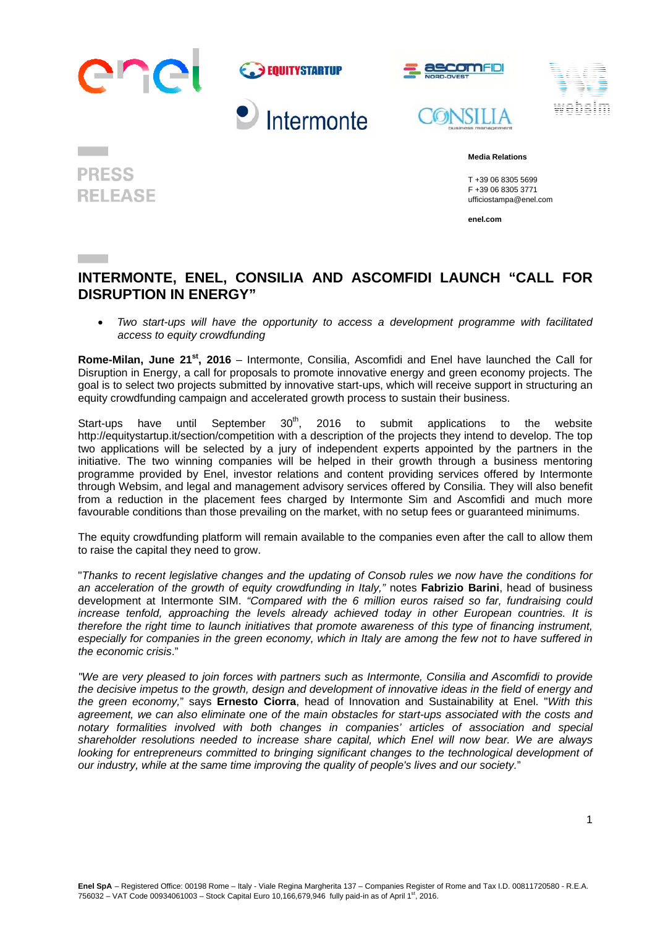

**PRESS** 

**RELEASE** 





## **Media Relations**

 T +39 06 8305 5699 F +39 06 8305 3771 ufficiostampa@enel.com

**enel.com**

## **INTERMONTE, ENEL, CONSILIA AND ASCOMFIDI LAUNCH "CALL FOR DISRUPTION IN ENERGY"**

 *Two start-ups will have the opportunity to access a development programme with facilitated access to equity crowdfunding* 

**Rome-Milan, June 21st, 2016** – Intermonte, Consilia, Ascomfidi and Enel have launched the Call for Disruption in Energy, a call for proposals to promote innovative energy and green economy projects. The goal is to select two projects submitted by innovative start-ups, which will receive support in structuring an equity crowdfunding campaign and accelerated growth process to sustain their business.

Start-ups have until September  $30<sup>th</sup>$ , 2016 to submit applications to the website http://equitystartup.it/section/competition with a description of the projects they intend to develop. The top two applications will be selected by a jury of independent experts appointed by the partners in the initiative. The two winning companies will be helped in their growth through a business mentoring programme provided by Enel, investor relations and content providing services offered by Intermonte through Websim, and legal and management advisory services offered by Consilia. They will also benefit from a reduction in the placement fees charged by Intermonte Sim and Ascomfidi and much more favourable conditions than those prevailing on the market, with no setup fees or guaranteed minimums.

The equity crowdfunding platform will remain available to the companies even after the call to allow them to raise the capital they need to grow.

"*Thanks to recent legislative changes and the updating of Consob rules we now have the conditions for an acceleration of the growth of equity crowdfunding in Italy,"* notes **Fabrizio Barini**, head of business development at Intermonte SIM. *"Compared with the 6 million euros raised so far, fundraising could*  increase tenfold, approaching the levels already achieved today in other European countries. It is *therefore the right time to launch initiatives that promote awareness of this type of financing instrument, especially for companies in the green economy, which in Italy are among the few not to have suffered in the economic crisis*."

*"We are very pleased to join forces with partners such as Intermonte, Consilia and Ascomfidi to provide the decisive impetus to the growth, design and development of innovative ideas in the field of energy and the green economy,*" says **Ernesto Ciorra**, head of Innovation and Sustainability at Enel. "*With this agreement, we can also eliminate one of the main obstacles for start-ups associated with the costs and notary formalities involved with both changes in companies' articles of association and special shareholder resolutions needed to increase share capital, which Enel will now bear. We are always looking for entrepreneurs committed to bringing significant changes to the technological development of our industry, while at the same time improving the quality of people's lives and our society.*"